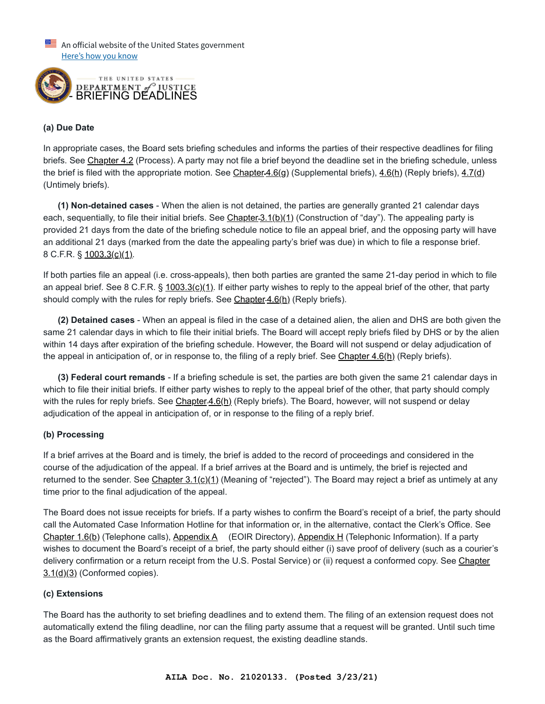$\equiv$  An official website of the United States government Here's how you know



## **(a) Due Date**

In appropriate cases, the Board sets briefing schedules and informs the parties of their respective deadlines for filing briefs. See [Chapter 4.2](https://www.justice.gov/eoir/eoir-policy-manual/iii/4/2) (Process). A party may not file a brief beyond the deadline set in the briefing schedule, unless the brief is filed with the appropriate motion. See Chapter 4.6(g) (Supplemental briefs), [4.6\(h\)](https://www.justice.gov/eoir/eoir-policy-manual/iii/4/6) (Reply briefs), [4.7\(d\)](https://www.justice.gov/eoir/eoir-policy-manual/iii/4/7) (Untimely briefs).

 **(1) Non-detained cases** - When the alien is not detained, the parties are generally granted 21 calendar days each, sequentially, to file their initial briefs. See Chapter 3.1(b)(1) (Construction of "day"). The appealing party is provided 21 days from the date of the briefing schedule notice to file an appeal brief, and the opposing party will have an additional 21 days (marked from the date the appealing party's brief was due) in which to file a response brief. 8 C.F.R. § [1003.3\(c\)\(1\).](https://www.ecfr.gov/cgi-bin/retrieveECFR?gp=&SID=8c37db7ae59510e45dd7d297b853a6e7&mc=true&n=sp8.1.1003.a&r=SUBPART&ty=HTML#se8.1.1003_13)

If both parties file an appeal (i.e. cross-appeals), then both parties are granted the same 21-day period in which to file an appeal brief. See 8 C.F.R. §  $1003.3(c)(1)$ . If either party wishes to reply to the appeal brief of the other, that party should comply with the rules for reply briefs. See Chapter 4.6(h) (Reply briefs).

 **(2) Detained cases** - When an appeal is filed in the case of a detained alien, the alien and DHS are both given the same 21 calendar days in which to file their initial briefs. The Board will accept reply briefs filed by DHS or by the alien within 14 days after expiration of the briefing schedule. However, the Board will not suspend or delay adjudication of the appeal in anticipation of, or in response to, the filing of a reply brief. See [Chapter 4.6\(h\)](https://www.justice.gov/eoir/eoir-policy-manual/iii/4/6) (Reply briefs).

 **(3) Federal court remands** - If a briefing schedule is set, the parties are both given the same 21 calendar days in which to file their initial briefs. If either party wishes to reply to the appeal brief of the other, that party should comply with the rules for reply briefs. See [Chapter](https://www.justice.gov/eoir/eoir-policy-manual/iii/4/6) 4.6(h) (Reply briefs). The Board, however, will not suspend or delay adjudication of the appeal in anticipation of, or in response to the filing of a reply brief.

# **(b) Processing**

If a brief arrives at the Board and is timely, the brief is added to the record of proceedings and considered in the course of the adjudication of the appeal. If a brief arrives at the Board and is untimely, the brief is rejected and returned to the sender. See Chapter  $3.1(c)(1)$  (Meaning of "rejected"). The Board may reject a brief as untimely at any time prior to the final adjudication of the appeal.

The Board does not issue receipts for briefs. If a party wishes to confirm the Board's receipt of a brief, the party should call the Automated Case Information Hotline for that information or, in the alternative, contact the Clerk's Office. See [Chapter 1.6\(b\)](https://www.justice.gov/eoir/eoir-policy-manual/iii/1/6) (Telephone calls), [Appendix A](https://c/node/1408926) (EOIR Directory), [Appendix H](https://www.justice.gov/eoir/eoir-policy-manual/VIIII/H) (Telephonic Information). If a party wishes to document the Board's receipt of a brief, the party should either (i) save proof of delivery (such as a courier's [delivery confirmation or a return receipt from the U.S. Postal Service\) or \(ii\) request a conformed copy. See Chapter](https://www.justice.gov/eoir/eoir-policy-manual/iii/3/1)  $3.1(d)(3)$  (Conformed copies).

#### **(c) Extensions**

The Board has the authority to set briefing deadlines and to extend them. The filing of an extension request does not automatically extend the filing deadline, nor can the filing party assume that a request will be granted. Until such time as the Board affirmatively grants an extension request, the existing deadline stands.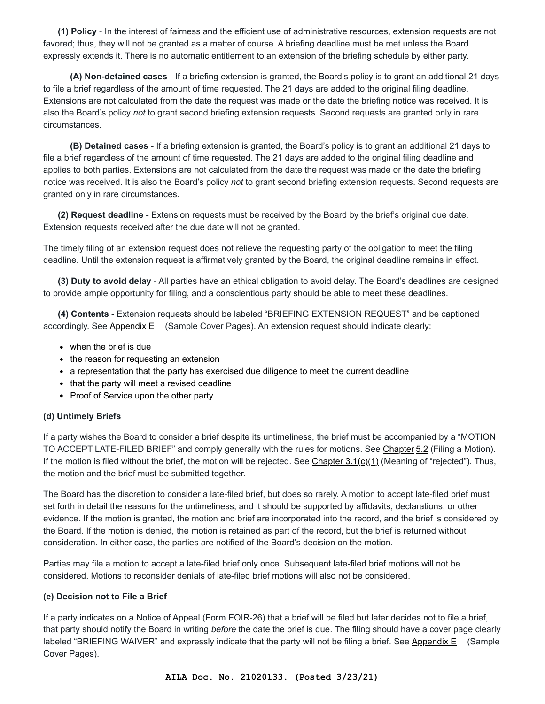**(1) Policy** - In the interest of fairness and the efficient use of administrative resources, extension requests are not favored; thus, they will not be granted as a matter of course. A briefing deadline must be met unless the Board expressly extends it. There is no automatic entitlement to an extension of the briefing schedule by either party.

 **(A) Non-detained cases** - If a briefing extension is granted, the Board's policy is to grant an additional 21 days to file a brief regardless of the amount of time requested. The 21 days are added to the original filing deadline. Extensions are not calculated from the date the request was made or the date the briefing notice was received. It is also the Board's policy *not* to grant second briefing extension requests. Second requests are granted only in rare circumstances.

 **(B) Detained cases** - If a briefing extension is granted, the Board's policy is to grant an additional 21 days to file a brief regardless of the amount of time requested. The 21 days are added to the original filing deadline and applies to both parties. Extensions are not calculated from the date the request was made or the date the briefing notice was received. It is also the Board's policy *not* to grant second briefing extension requests. Second requests are granted only in rare circumstances.

 **(2) Request deadline** - Extension requests must be received by the Board by the brief's original due date. Extension requests received after the due date will not be granted.

The timely filing of an extension request does not relieve the requesting party of the obligation to meet the filing deadline. Until the extension request is affirmatively granted by the Board, the original deadline remains in effect.

 **(3) Duty to avoid delay** - All parties have an ethical obligation to avoid delay. The Board's deadlines are designed to provide ample opportunity for filing, and a conscientious party should be able to meet these deadlines.

 **(4) Contents** - Extension requests should be labeled "BRIEFING EXTENSION REQUEST" and be captioned accordingly. See [Appendix E](https://c/node/1408946) (Sample Cover Pages). An extension request should indicate clearly:

- when the brief is due
- the reason for requesting an extension
- a representation that the party has exercised due diligence to meet the current deadline •
- that the party will meet a revised deadline
- Proof of Service upon the other party

#### **(d) Untimely Briefs**

If a party wishes the Board to consider a brief despite its untimeliness, the brief must be accompanied by a "MOTION TO ACCEPT LATE-FILED BRIEF" and comply generally with the rules for motions. See [Chapter](https://www.justice.gov/eoir/eoir-policy-manual/iii/5/2) 5.2 (Filing a Motion). If the motion is filed without the brief, the motion will be rejected. See Chapter  $3.1(c)(1)$  (Meaning of "rejected"). Thus, the motion and the brief must be submitted together.

The Board has the discretion to consider a late-filed brief, but does so rarely. A motion to accept late-filed brief must set forth in detail the reasons for the untimeliness, and it should be supported by affidavits, declarations, or other evidence. If the motion is granted, the motion and brief are incorporated into the record, and the brief is considered by the Board. If the motion is denied, the motion is retained as part of the record, but the brief is returned without consideration. In either case, the parties are notified of the Board's decision on the motion.

Parties may file a motion to accept a late-filed brief only once. Subsequent late-filed brief motions will not be considered. Motions to reconsider denials of late-filed brief motions will also not be considered.

#### **(e) Decision not to File a Brief**

If a party indicates on a Notice of Appeal (Form EOIR‑26) that a brief will be filed but later decides not to file a brief, that party should notify the Board in writing *before* the date the brief is due. The filing should have a cover page clearly labeled "BRIEFING WAIVER" and expressly indicate that the party will not be filing a brief. See [Appendix E](https://c/node/1408946) (Sample Cover Pages).